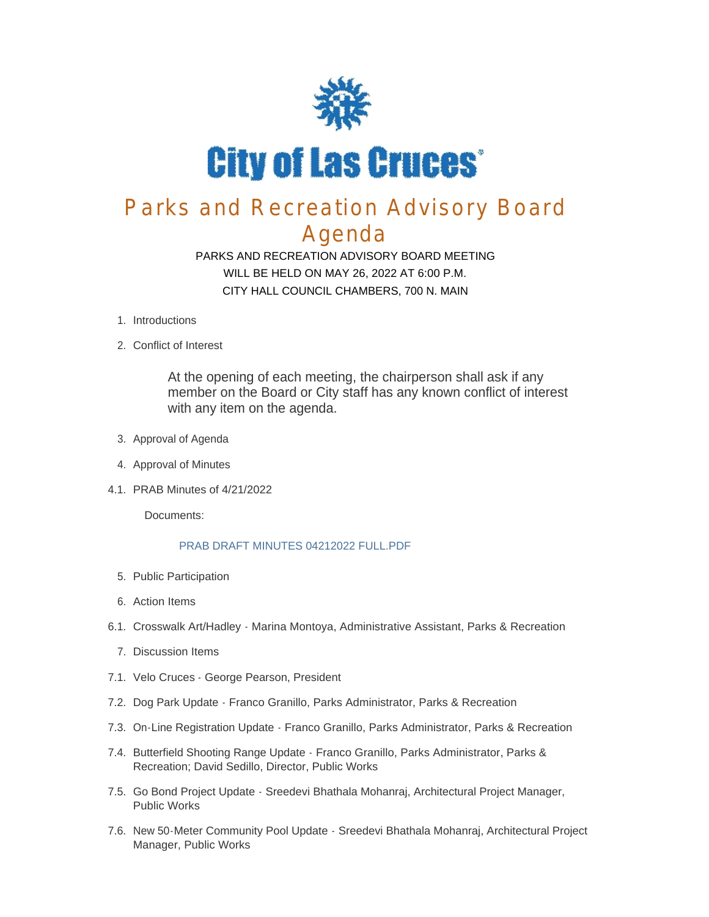

# Parks and Recreation Advisory Board Agenda

PARKS AND RECREATION ADVISORY BOARD MEETING WILL BE HELD ON MAY 26, 2022 AT 6:00 P.M. CITY HALL COUNCIL CHAMBERS, 700 N. MAIN

- 1. Introductions
- 2. Conflict of Interest

At the opening of each meeting, the chairperson shall ask if any member on the Board or City staff has any known conflict of interest with any item on the agenda.

- 3. Approval of Agenda
- 4. Approval of Minutes
- PRAB Minutes of 4/21/2022 4.1.

Documents:

#### PRAB DRAFT MINUTES 04212022 FULL.PDF

- 5. Public Participation
- Action Items 6.
- 6.1. Crosswalk Art/Hadley Marina Montoya, Administrative Assistant, Parks & Recreation
	- 7. Discussion Items
- 7.1. Velo Cruces George Pearson, President
- 7.2. Dog Park Update Franco Granillo, Parks Administrator, Parks & Recreation
- 7.3. On-Line Registration Update Franco Granillo, Parks Administrator, Parks & Recreation
- 7.4. Butterfield Shooting Range Update Franco Granillo, Parks Administrator, Parks & Recreation; David Sedillo, Director, Public Works
- 7.5. Go Bond Project Update Sreedevi Bhathala Mohanraj, Architectural Project Manager, Public Works
- 7.6. New 50 Meter Community Pool Update Sreedevi Bhathala Mohanraj, Architectural Project Manager, Public Works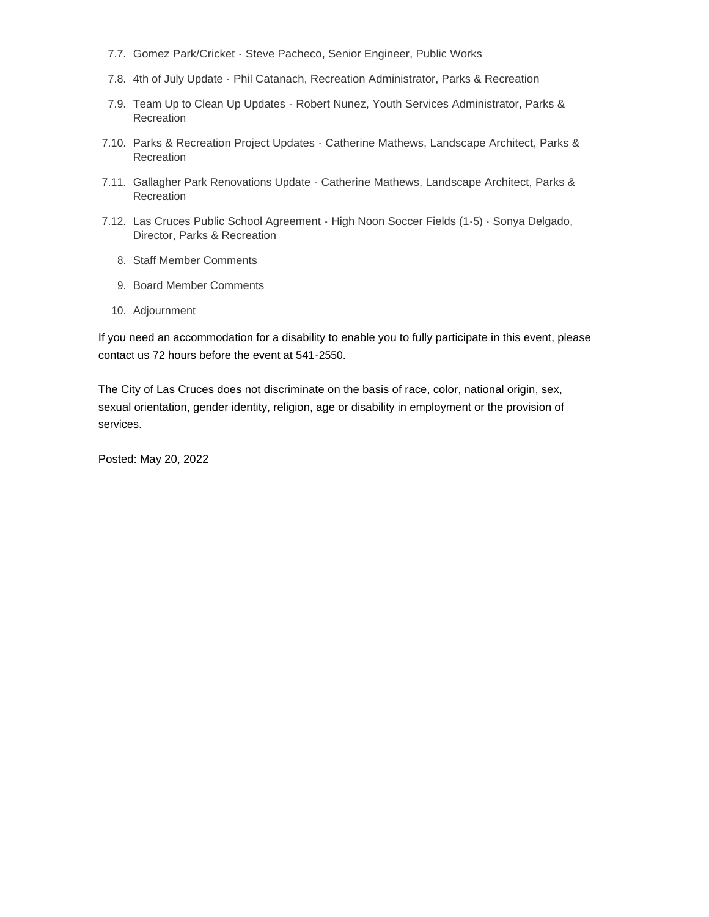- 7.7. Gomez Park/Cricket Steve Pacheco, Senior Engineer, Public Works
- 4th of July Update Phil Catanach, Recreation Administrator, Parks & Recreation 7.8.
- 7.9. Team Up to Clean Up Updates Robert Nunez, Youth Services Administrator, Parks & Recreation
- 7.10. Parks & Recreation Project Updates Catherine Mathews, Landscape Architect, Parks & **Recreation**
- 7.11. Gallagher Park Renovations Update Catherine Mathews, Landscape Architect, Parks & Recreation
- 7.12. Las Cruces Public School Agreement High Noon Soccer Fields (1-5) Sonya Delgado, Director, Parks & Recreation
	- 8. Staff Member Comments
	- 9. Board Member Comments
	- 10. Adjournment

If you need an accommodation for a disability to enable you to fully participate in this event, please contact us 72 hours before the event at 541-2550.

The City of Las Cruces does not discriminate on the basis of race, color, national origin, sex, sexual orientation, gender identity, religion, age or disability in employment or the provision of services.

Posted: May 20, 2022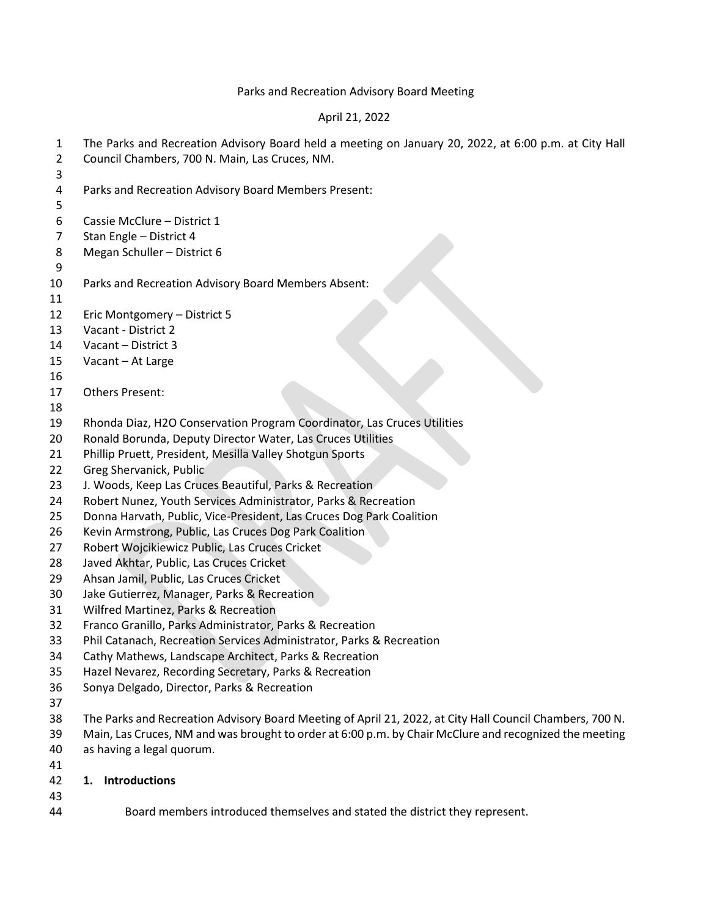#### Parks and Recreation Advisory Board Meeting

#### April 21, 2022

- The Parks and Recreation Advisory Board held a meeting on January 20, 2022, at 6:00 p.m. at City Hall Council Chambers, 700 N. Main, Las Cruces, NM.
- Parks and Recreation Advisory Board Members Present:
- Cassie McClure District 1
- Stan Engle District 4
- Megan Schuller District 6
- 

- Parks and Recreation Advisory Board Members Absent:
- 

Eric Montgomery – District 5

- Vacant District 2
- Vacant District 3
- Vacant At Large
- 
- Others Present:
- 
- Rhonda Diaz, H2O Conservation Program Coordinator, Las Cruces Utilities
- Ronald Borunda, Deputy Director Water, Las Cruces Utilities
- Phillip Pruett, President, Mesilla Valley Shotgun Sports
- Greg Shervanick, Public
- J. Woods, Keep Las Cruces Beautiful, Parks & Recreation
- Robert Nunez, Youth Services Administrator, Parks & Recreation
- Donna Harvath, Public, Vice-President, Las Cruces Dog Park Coalition
- Kevin Armstrong, Public, Las Cruces Dog Park Coalition
- Robert Wojcikiewicz Public, Las Cruces Cricket
- Javed Akhtar, Public, Las Cruces Cricket
- Ahsan Jamil, Public, Las Cruces Cricket
- Jake Gutierrez, Manager, Parks & Recreation
- Wilfred Martinez, Parks & Recreation
- Franco Granillo, Parks Administrator, Parks & Recreation
- Phil Catanach, Recreation Services Administrator, Parks & Recreation
- Cathy Mathews, Landscape Architect, Parks & Recreation
- Hazel Nevarez, Recording Secretary, Parks & Recreation
- Sonya Delgado, Director, Parks & Recreation
- 
- The Parks and Recreation Advisory Board Meeting of April 21, 2022, at City Hall Council Chambers, 700 N.
- Main, Las Cruces, NM and was brought to order at 6:00 p.m. by Chair McClure and recognized the meeting
- as having a legal quorum.
- 
- **1. Introductions**
- 
- Board members introduced themselves and stated the district they represent.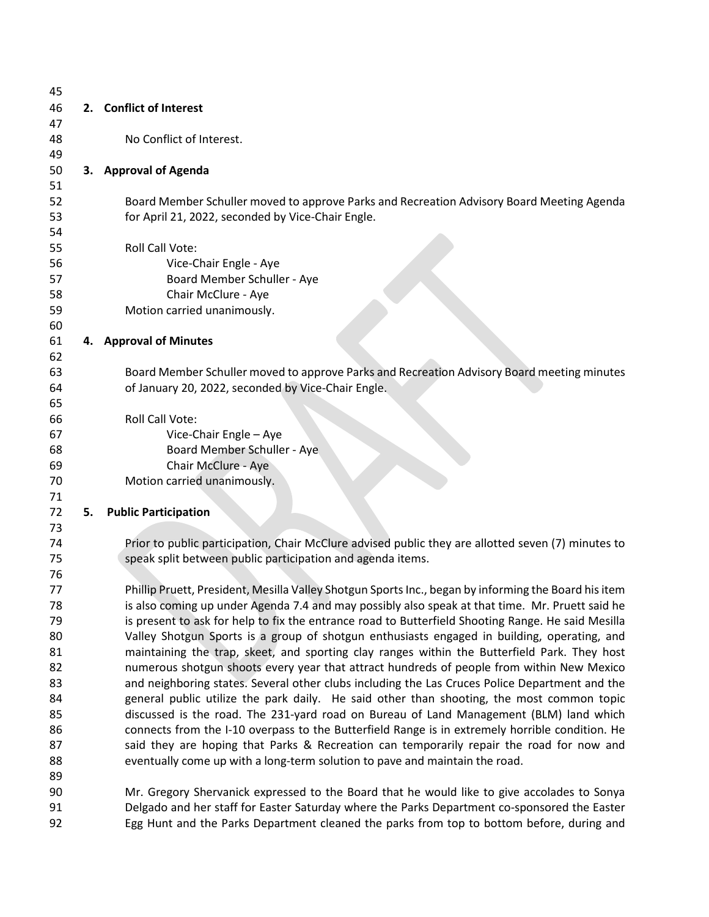| 45       |    |                                                                                                      |
|----------|----|------------------------------------------------------------------------------------------------------|
| 46       |    | 2. Conflict of Interest                                                                              |
| 47       |    |                                                                                                      |
| 48       |    | No Conflict of Interest.                                                                             |
| 49       |    |                                                                                                      |
| 50       |    | 3. Approval of Agenda                                                                                |
| 51       |    |                                                                                                      |
| 52       |    | Board Member Schuller moved to approve Parks and Recreation Advisory Board Meeting Agenda            |
| 53       |    | for April 21, 2022, seconded by Vice-Chair Engle.                                                    |
| 54       |    |                                                                                                      |
| 55       |    | Roll Call Vote:                                                                                      |
| 56       |    | Vice-Chair Engle - Aye                                                                               |
| 57       |    | Board Member Schuller - Aye                                                                          |
| 58       |    | Chair McClure - Aye                                                                                  |
| 59       |    | Motion carried unanimously.                                                                          |
| 60       |    |                                                                                                      |
| 61       |    | 4. Approval of Minutes                                                                               |
| 62       |    |                                                                                                      |
| 63       |    | Board Member Schuller moved to approve Parks and Recreation Advisory Board meeting minutes           |
| 64       |    | of January 20, 2022, seconded by Vice-Chair Engle.                                                   |
| 65       |    |                                                                                                      |
| 66       |    | Roll Call Vote:                                                                                      |
| 67       |    | Vice-Chair Engle - Aye                                                                               |
| 68       |    | Board Member Schuller - Aye                                                                          |
| 69       |    | Chair McClure - Aye                                                                                  |
| 70       |    | Motion carried unanimously.                                                                          |
| 71<br>72 | 5. | <b>Public Participation</b>                                                                          |
| 73       |    |                                                                                                      |
| 74       |    | Prior to public participation, Chair McClure advised public they are allotted seven (7) minutes to   |
| 75       |    | speak split between public participation and agenda items.                                           |
| 76       |    |                                                                                                      |
| 77       |    | Phillip Pruett, President, Mesilla Valley Shotgun Sports Inc., began by informing the Board his item |
| 78       |    | is also coming up under Agenda 7.4 and may possibly also speak at that time. Mr. Pruett said he      |
| 79       |    | is present to ask for help to fix the entrance road to Butterfield Shooting Range. He said Mesilla   |
| 80       |    | Valley Shotgun Sports is a group of shotgun enthusiasts engaged in building, operating, and          |
| 81       |    | maintaining the trap, skeet, and sporting clay ranges within the Butterfield Park. They host         |
| 82       |    | numerous shotgun shoots every year that attract hundreds of people from within New Mexico            |
| 83       |    | and neighboring states. Several other clubs including the Las Cruces Police Department and the       |
| 84       |    | general public utilize the park daily. He said other than shooting, the most common topic            |
| 85       |    | discussed is the road. The 231-yard road on Bureau of Land Management (BLM) land which               |
| 86       |    | connects from the I-10 overpass to the Butterfield Range is in extremely horrible condition. He      |
| 87       |    | said they are hoping that Parks & Recreation can temporarily repair the road for now and             |
| 88       |    | eventually come up with a long-term solution to pave and maintain the road.                          |
| 89       |    |                                                                                                      |
| 90       |    | Mr. Gregory Shervanick expressed to the Board that he would like to give accolades to Sonya          |
| 91       |    | Delgado and her staff for Easter Saturday where the Parks Department co-sponsored the Easter         |
| 92       |    | Egg Hunt and the Parks Department cleaned the parks from top to bottom before, during and            |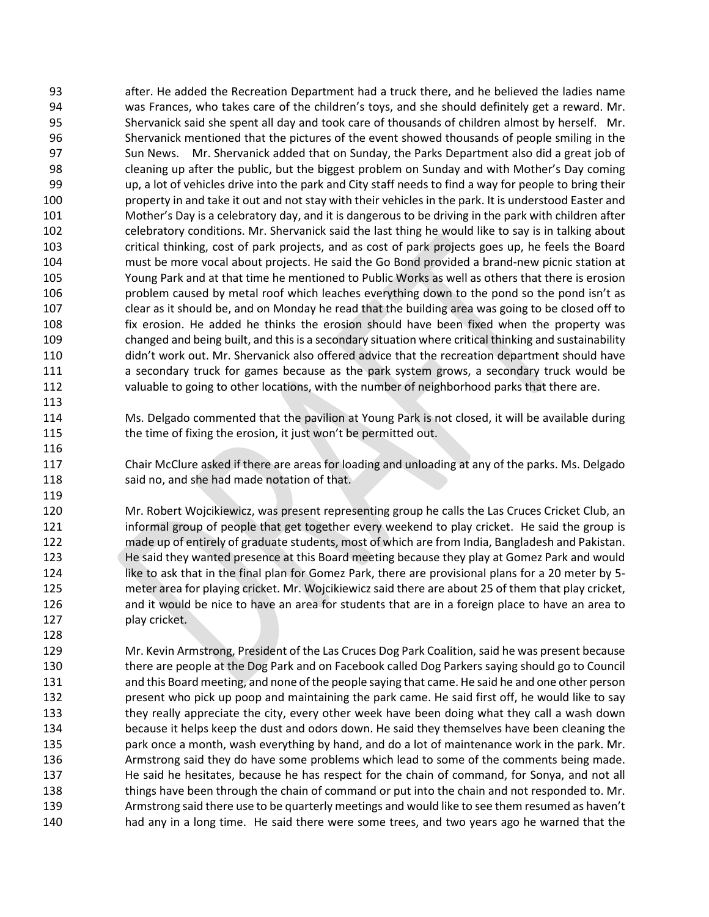after. He added the Recreation Department had a truck there, and he believed the ladies name was Frances, who takes care of the children's toys, and she should definitely get a reward. Mr. Shervanick said she spent all day and took care of thousands of children almost by herself. Mr. Shervanick mentioned that the pictures of the event showed thousands of people smiling in the Sun News. Mr. Shervanick added that on Sunday, the Parks Department also did a great job of cleaning up after the public, but the biggest problem on Sunday and with Mother's Day coming up, a lot of vehicles drive into the park and City staff needs to find a way for people to bring their property in and take it out and not stay with their vehicles in the park. It is understood Easter and Mother's Day is a celebratory day, and it is dangerous to be driving in the park with children after celebratory conditions. Mr. Shervanick said the last thing he would like to say is in talking about critical thinking, cost of park projects, and as cost of park projects goes up, he feels the Board must be more vocal about projects. He said the Go Bond provided a brand-new picnic station at Young Park and at that time he mentioned to Public Works as well as others that there is erosion 106 problem caused by metal roof which leaches everything down to the pond so the pond isn't as clear as it should be, and on Monday he read that the building area was going to be closed off to fix erosion. He added he thinks the erosion should have been fixed when the property was changed and being built, and this is a secondary situation where critical thinking and sustainability didn't work out. Mr. Shervanick also offered advice that the recreation department should have a secondary truck for games because as the park system grows, a secondary truck would be valuable to going to other locations, with the number of neighborhood parks that there are.

 Ms. Delgado commented that the pavilion at Young Park is not closed, it will be available during the time of fixing the erosion, it just won't be permitted out.

 Chair McClure asked if there are areas for loading and unloading at any of the parks. Ms. Delgado 118 said no, and she had made notation of that.

 Mr. Robert Wojcikiewicz, was present representing group he calls the Las Cruces Cricket Club, an 121 informal group of people that get together every weekend to play cricket. He said the group is made up of entirely of graduate students, most of which are from India, Bangladesh and Pakistan. He said they wanted presence at this Board meeting because they play at Gomez Park and would like to ask that in the final plan for Gomez Park, there are provisional plans for a 20 meter by 5- meter area for playing cricket. Mr. Wojcikiewicz said there are about 25 of them that play cricket, and it would be nice to have an area for students that are in a foreign place to have an area to 127 play cricket.

 Mr. Kevin Armstrong, President of the Las Cruces Dog Park Coalition, said he was present because there are people at the Dog Park and on Facebook called Dog Parkers saying should go to Council and this Board meeting, and none of the people saying that came. He said he and one other person present who pick up poop and maintaining the park came. He said first off, he would like to say 133 they really appreciate the city, every other week have been doing what they call a wash down because it helps keep the dust and odors down. He said they themselves have been cleaning the park once a month, wash everything by hand, and do a lot of maintenance work in the park. Mr. 136 Armstrong said they do have some problems which lead to some of the comments being made. He said he hesitates, because he has respect for the chain of command, for Sonya, and not all 138 things have been through the chain of command or put into the chain and not responded to. Mr. Armstrong said there use to be quarterly meetings and would like to see them resumed as haven't had any in a long time. He said there were some trees, and two years ago he warned that the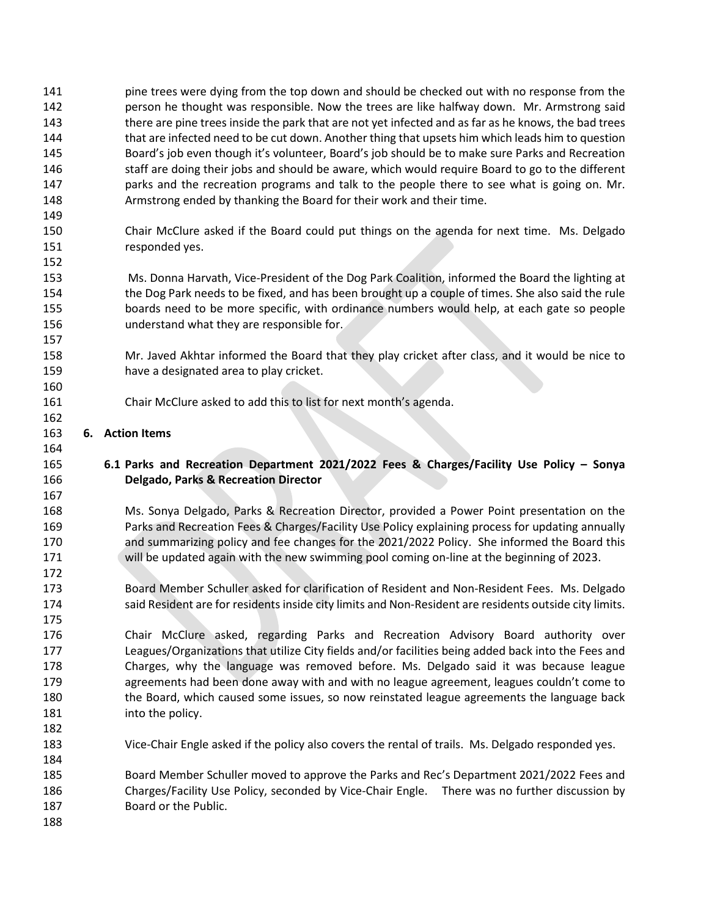- pine trees were dying from the top down and should be checked out with no response from the person he thought was responsible. Now the trees are like halfway down. Mr. Armstrong said 143 there are pine trees inside the park that are not yet infected and as far as he knows, the bad trees 144 that are infected need to be cut down. Another thing that upsets him which leads him to question Board's job even though it's volunteer, Board's job should be to make sure Parks and Recreation staff are doing their jobs and should be aware, which would require Board to go to the different parks and the recreation programs and talk to the people there to see what is going on. Mr. Armstrong ended by thanking the Board for their work and their time.
- Chair McClure asked if the Board could put things on the agenda for next time. Ms. Delgado responded yes.
- Ms. Donna Harvath, Vice-President of the Dog Park Coalition, informed the Board the lighting at the Dog Park needs to be fixed, and has been brought up a couple of times. She also said the rule boards need to be more specific, with ordinance numbers would help, at each gate so people understand what they are responsible for.
- Mr. Javed Akhtar informed the Board that they play cricket after class, and it would be nice to have a designated area to play cricket.
- Chair McClure asked to add this to list for next month's agenda.

## **6. Action Items**

- **6.1 Parks and Recreation Department 2021/2022 Fees & Charges/Facility Use Policy – Sonya Delgado, Parks & Recreation Director**
- Ms. Sonya Delgado, Parks & Recreation Director, provided a Power Point presentation on the Parks and Recreation Fees & Charges/Facility Use Policy explaining process for updating annually and summarizing policy and fee changes for the 2021/2022 Policy. She informed the Board this will be updated again with the new swimming pool coming on-line at the beginning of 2023.
- Board Member Schuller asked for clarification of Resident and Non-Resident Fees. Ms. Delgado 174 said Resident are for residents inside city limits and Non-Resident are residents outside city limits.
- Chair McClure asked, regarding Parks and Recreation Advisory Board authority over Leagues/Organizations that utilize City fields and/or facilities being added back into the Fees and Charges, why the language was removed before. Ms. Delgado said it was because league 179 agreements had been done away with and with no league agreement, leagues couldn't come to 180 the Board, which caused some issues, so now reinstated league agreements the language back 181 into the policy.
- Vice-Chair Engle asked if the policy also covers the rental of trails. Ms. Delgado responded yes.

 Board Member Schuller moved to approve the Parks and Rec's Department 2021/2022 Fees and Charges/Facility Use Policy, seconded by Vice-Chair Engle. There was no further discussion by Board or the Public.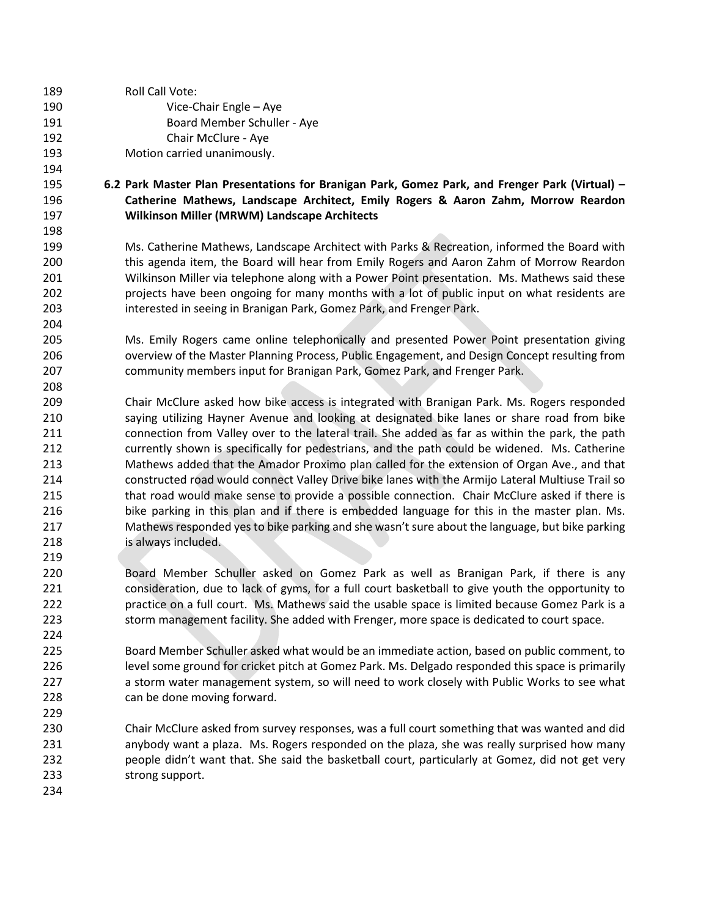| 189        | Roll Call Vote:                                                                                                                                                                             |
|------------|---------------------------------------------------------------------------------------------------------------------------------------------------------------------------------------------|
| 190        | Vice-Chair Engle - Aye                                                                                                                                                                      |
| 191        | Board Member Schuller - Aye                                                                                                                                                                 |
| 192        | Chair McClure - Aye                                                                                                                                                                         |
| 193        | Motion carried unanimously.                                                                                                                                                                 |
| 194        |                                                                                                                                                                                             |
| 195        | 6.2 Park Master Plan Presentations for Branigan Park, Gomez Park, and Frenger Park (Virtual) -                                                                                              |
| 196        | Catherine Mathews, Landscape Architect, Emily Rogers & Aaron Zahm, Morrow Reardon                                                                                                           |
| 197        | Wilkinson Miller (MRWM) Landscape Architects                                                                                                                                                |
| 198        |                                                                                                                                                                                             |
| 199        | Ms. Catherine Mathews, Landscape Architect with Parks & Recreation, informed the Board with                                                                                                 |
| 200        | this agenda item, the Board will hear from Emily Rogers and Aaron Zahm of Morrow Reardon                                                                                                    |
| 201        | Wilkinson Miller via telephone along with a Power Point presentation. Ms. Mathews said these                                                                                                |
| 202        | projects have been ongoing for many months with a lot of public input on what residents are                                                                                                 |
| 203        | interested in seeing in Branigan Park, Gomez Park, and Frenger Park.                                                                                                                        |
| 204        |                                                                                                                                                                                             |
| 205        | Ms. Emily Rogers came online telephonically and presented Power Point presentation giving                                                                                                   |
| 206        | overview of the Master Planning Process, Public Engagement, and Design Concept resulting from                                                                                               |
| 207        | community members input for Branigan Park, Gomez Park, and Frenger Park.                                                                                                                    |
| 208        |                                                                                                                                                                                             |
| 209        | Chair McClure asked how bike access is integrated with Branigan Park. Ms. Rogers responded                                                                                                  |
| 210        | saying utilizing Hayner Avenue and looking at designated bike lanes or share road from bike                                                                                                 |
| 211        | connection from Valley over to the lateral trail. She added as far as within the park, the path                                                                                             |
| 212        | currently shown is specifically for pedestrians, and the path could be widened. Ms. Catherine                                                                                               |
| 213        | Mathews added that the Amador Proximo plan called for the extension of Organ Ave., and that                                                                                                 |
| 214        | constructed road would connect Valley Drive bike lanes with the Armijo Lateral Multiuse Trail so                                                                                            |
| 215        | that road would make sense to provide a possible connection. Chair McClure asked if there is                                                                                                |
| 216        | bike parking in this plan and if there is embedded language for this in the master plan. Ms.                                                                                                |
| 217        | Mathews responded yes to bike parking and she wasn't sure about the language, but bike parking                                                                                              |
| 218        | is always included.                                                                                                                                                                         |
| 219        |                                                                                                                                                                                             |
| 220        | Board Member Schuller asked on Gomez Park as well as Branigan Park, if there is any                                                                                                         |
| 221        | consideration, due to lack of gyms, for a full court basketball to give youth the opportunity to                                                                                            |
| 222        | practice on a full court. Ms. Mathews said the usable space is limited because Gomez Park is a                                                                                              |
| 223        | storm management facility. She added with Frenger, more space is dedicated to court space.                                                                                                  |
| 224        |                                                                                                                                                                                             |
| 225        | Board Member Schuller asked what would be an immediate action, based on public comment, to                                                                                                  |
| 226        | level some ground for cricket pitch at Gomez Park. Ms. Delgado responded this space is primarily                                                                                            |
| 227        | a storm water management system, so will need to work closely with Public Works to see what                                                                                                 |
| 228        | can be done moving forward.                                                                                                                                                                 |
| 229        |                                                                                                                                                                                             |
| 230<br>231 | Chair McClure asked from survey responses, was a full court something that was wanted and did<br>anybody want a plaza. Ms. Rogers responded on the plaza, she was really surprised how many |
| 232        | people didn't want that. She said the basketball court, particularly at Gomez, did not get very                                                                                             |
|            |                                                                                                                                                                                             |
| 233        | strong support.                                                                                                                                                                             |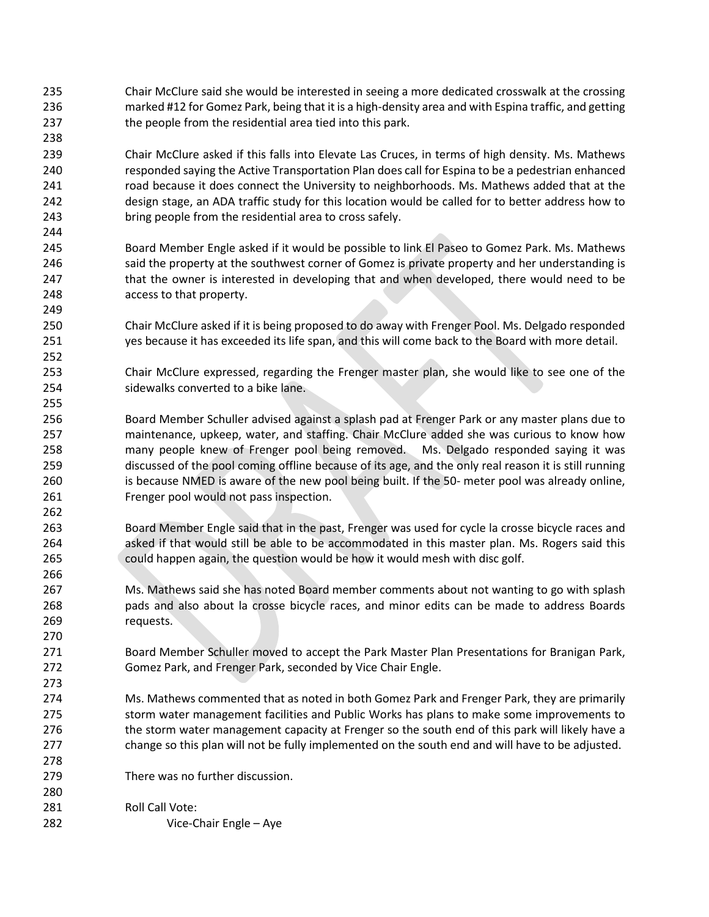Chair McClure said she would be interested in seeing a more dedicated crosswalk at the crossing marked #12 for Gomez Park, being that it is a high-density area and with Espina traffic, and getting 237 the people from the residential area tied into this park.

 Chair McClure asked if this falls into Elevate Las Cruces, in terms of high density. Ms. Mathews responded saying the Active Transportation Plan does call for Espina to be a pedestrian enhanced 241 road because it does connect the University to neighborhoods. Ms. Mathews added that at the design stage, an ADA traffic study for this location would be called for to better address how to bring people from the residential area to cross safely.

 Board Member Engle asked if it would be possible to link El Paseo to Gomez Park. Ms. Mathews 246 said the property at the southwest corner of Gomez is private property and her understanding is 247 that the owner is interested in developing that and when developed, there would need to be access to that property.

 Chair McClure asked if it is being proposed to do away with Frenger Pool. Ms. Delgado responded yes because it has exceeded its life span, and this will come back to the Board with more detail.

 Chair McClure expressed, regarding the Frenger master plan, she would like to see one of the sidewalks converted to a bike lane.

 Board Member Schuller advised against a splash pad at Frenger Park or any master plans due to maintenance, upkeep, water, and staffing. Chair McClure added she was curious to know how many people knew of Frenger pool being removed. Ms. Delgado responded saying it was discussed of the pool coming offline because of its age, and the only real reason it is still running is because NMED is aware of the new pool being built. If the 50- meter pool was already online, Frenger pool would not pass inspection.

 Board Member Engle said that in the past, Frenger was used for cycle la crosse bicycle races and asked if that would still be able to be accommodated in this master plan. Ms. Rogers said this could happen again, the question would be how it would mesh with disc golf.

 Ms. Mathews said she has noted Board member comments about not wanting to go with splash pads and also about la crosse bicycle races, and minor edits can be made to address Boards requests.

 Board Member Schuller moved to accept the Park Master Plan Presentations for Branigan Park, Gomez Park, and Frenger Park, seconded by Vice Chair Engle.

- Ms. Mathews commented that as noted in both Gomez Park and Frenger Park, they are primarily storm water management facilities and Public Works has plans to make some improvements to 276 the storm water management capacity at Frenger so the south end of this park will likely have a change so this plan will not be fully implemented on the south end and will have to be adjusted.
- There was no further discussion.
- 281 Roll Call Vote: Vice-Chair Engle – Aye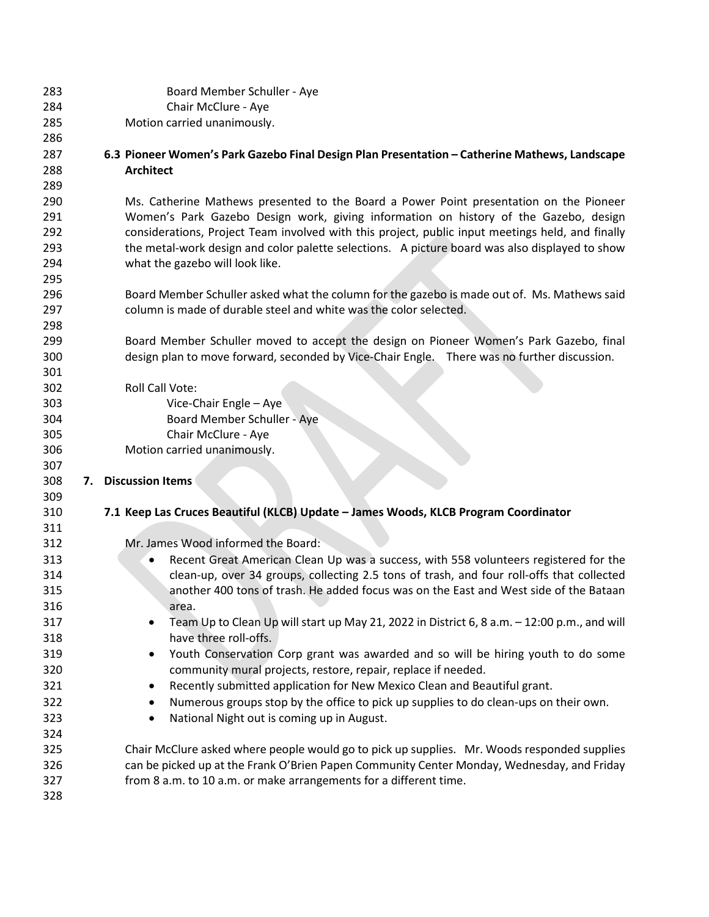| 283        | Board Member Schuller - Aye                                                                      |
|------------|--------------------------------------------------------------------------------------------------|
| 284        | Chair McClure - Aye                                                                              |
| 285        | Motion carried unanimously.                                                                      |
| 286        |                                                                                                  |
| 287        | 6.3 Pioneer Women's Park Gazebo Final Design Plan Presentation - Catherine Mathews, Landscape    |
| 288        | <b>Architect</b>                                                                                 |
| 289        |                                                                                                  |
| 290        | Ms. Catherine Mathews presented to the Board a Power Point presentation on the Pioneer           |
| 291        | Women's Park Gazebo Design work, giving information on history of the Gazebo, design             |
| 292        | considerations, Project Team involved with this project, public input meetings held, and finally |
| 293        | the metal-work design and color palette selections. A picture board was also displayed to show   |
| 294        | what the gazebo will look like.                                                                  |
| 295        |                                                                                                  |
| 296        | Board Member Schuller asked what the column for the gazebo is made out of. Ms. Mathews said      |
| 297        | column is made of durable steel and white was the color selected.                                |
| 298        |                                                                                                  |
| 299        | Board Member Schuller moved to accept the design on Pioneer Women's Park Gazebo, final           |
| 300        | design plan to move forward, seconded by Vice-Chair Engle. There was no further discussion.      |
| 301        |                                                                                                  |
| 302        | Roll Call Vote:                                                                                  |
| 303        | Vice-Chair Engle - Aye                                                                           |
| 304<br>305 | Board Member Schuller - Aye<br>Chair McClure - Aye                                               |
| 306        | Motion carried unanimously.                                                                      |
| 307        |                                                                                                  |
| 308        | <b>Discussion Items</b><br>7.                                                                    |
| 309        |                                                                                                  |
| 310        | 7.1 Keep Las Cruces Beautiful (KLCB) Update - James Woods, KLCB Program Coordinator              |
| 311        |                                                                                                  |
| 312        | Mr. James Wood informed the Board:                                                               |
| 313        | Recent Great American Clean Up was a success, with 558 volunteers registered for the             |
| 314        | clean-up, over 34 groups, collecting 2.5 tons of trash, and four roll-offs that collected        |
| 315        | another 400 tons of trash. He added focus was on the East and West side of the Bataan            |
| 316        | area.                                                                                            |
| 317        | Team Up to Clean Up will start up May 21, 2022 in District 6, 8 a.m. - 12:00 p.m., and will      |
| 318        | have three roll-offs.                                                                            |
| 319        | Youth Conservation Corp grant was awarded and so will be hiring youth to do some                 |
| 320        | community mural projects, restore, repair, replace if needed.                                    |
| 321        | Recently submitted application for New Mexico Clean and Beautiful grant.                         |
| 322        | Numerous groups stop by the office to pick up supplies to do clean-ups on their own.             |
| 323        | National Night out is coming up in August.                                                       |
| 324        |                                                                                                  |
|            | Chair McClure asked where people would go to pick up supplies. Mr. Woods responded supplies      |
| 325        |                                                                                                  |
| 326        | can be picked up at the Frank O'Brien Papen Community Center Monday, Wednesday, and Friday       |
| 327        | from 8 a.m. to 10 a.m. or make arrangements for a different time.                                |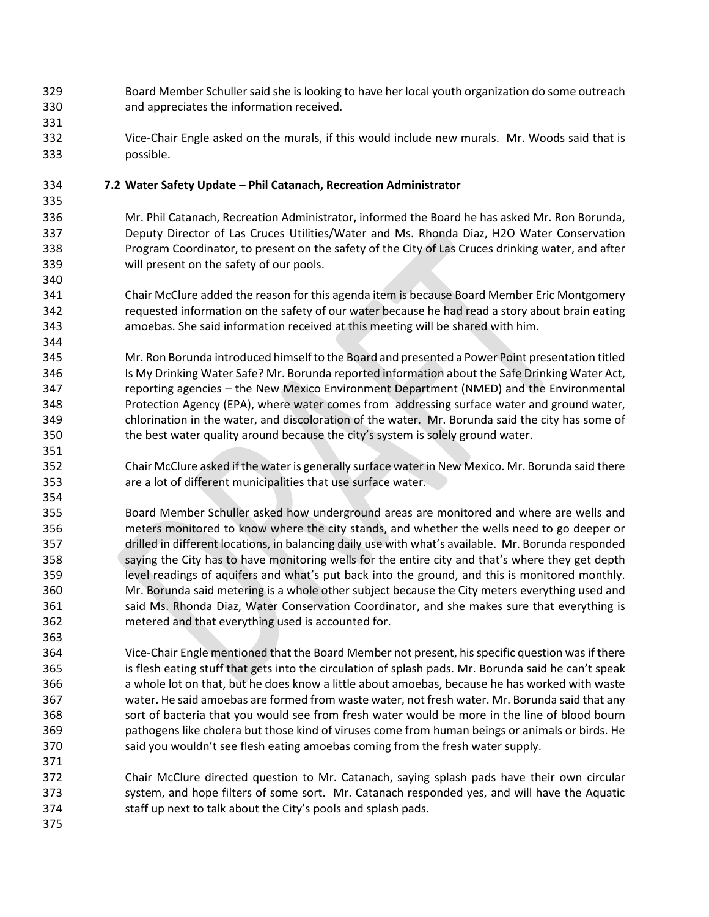- Board Member Schullersaid she is looking to have her local youth organization do some outreach and appreciates the information received.
- Vice-Chair Engle asked on the murals, if this would include new murals. Mr. Woods said that is possible.

# **7.2 Water Safety Update – Phil Catanach, Recreation Administrator**

 Mr. Phil Catanach, Recreation Administrator, informed the Board he has asked Mr. Ron Borunda, Deputy Director of Las Cruces Utilities/Water and Ms. Rhonda Diaz, H2O Water Conservation Program Coordinator, to present on the safety of the City of Las Cruces drinking water, and after will present on the safety of our pools.

- Chair McClure added the reason for this agenda item is because Board Member Eric Montgomery requested information on the safety of our water because he had read a story about brain eating amoebas. She said information received at this meeting will be shared with him.
- Mr. Ron Borunda introduced himself to the Board and presented a Power Point presentation titled Is My Drinking Water Safe? Mr. Borunda reported information about the Safe Drinking Water Act, reporting agencies – the New Mexico Environment Department (NMED) and the Environmental Protection Agency (EPA), where water comes from addressing surface water and ground water, chlorination in the water, and discoloration of the water. Mr. Borunda said the city has some of the best water quality around because the city's system is solely ground water.
- Chair McClure asked if the water is generally surface waterin New Mexico. Mr. Borunda said there are a lot of different municipalities that use surface water.
- Board Member Schuller asked how underground areas are monitored and where are wells and meters monitored to know where the city stands, and whether the wells need to go deeper or drilled in different locations, in balancing daily use with what's available. Mr. Borunda responded 358 saying the City has to have monitoring wells for the entire city and that's where they get depth level readings of aquifers and what's put back into the ground, and this is monitored monthly. Mr. Borunda said metering is a whole other subject because the City meters everything used and 361 said Ms. Rhonda Diaz, Water Conservation Coordinator, and she makes sure that everything is metered and that everything used is accounted for.
- Vice-Chair Engle mentioned that the Board Member not present, hisspecific question was if there is flesh eating stuff that gets into the circulation of splash pads. Mr. Borunda said he can't speak a whole lot on that, but he does know a little about amoebas, because he has worked with waste water. He said amoebas are formed from waste water, not fresh water. Mr. Borunda said that any sort of bacteria that you would see from fresh water would be more in the line of blood bourn pathogens like cholera but those kind of viruses come from human beings or animals or birds. He 370 said you wouldn't see flesh eating amoebas coming from the fresh water supply.
- Chair McClure directed question to Mr. Catanach, saying splash pads have their own circular system, and hope filters of some sort. Mr. Catanach responded yes, and will have the Aquatic staff up next to talk about the City's pools and splash pads.
-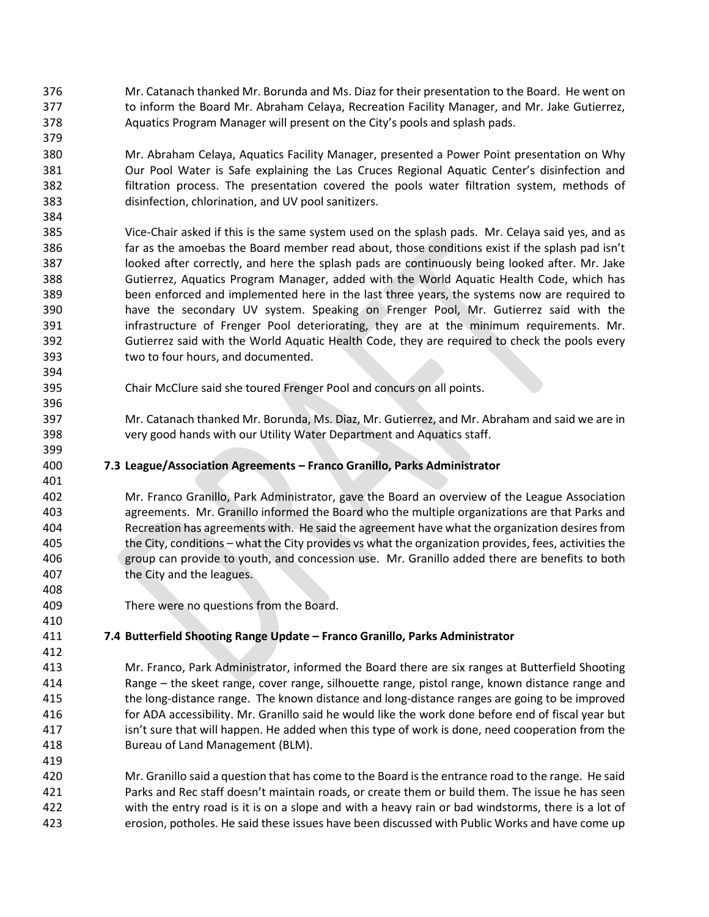- Mr. Catanach thanked Mr. Borunda and Ms. Diaz for their presentation to the Board. He went on 377 to inform the Board Mr. Abraham Celaya, Recreation Facility Manager, and Mr. Jake Gutierrez, Aquatics Program Manager will present on the City's pools and splash pads.
- Mr. Abraham Celaya, Aquatics Facility Manager, presented a Power Point presentation on Why Our Pool Water is Safe explaining the Las Cruces Regional Aquatic Center's disinfection and filtration process. The presentation covered the pools water filtration system, methods of disinfection, chlorination, and UV pool sanitizers.
- Vice-Chair asked if this is the same system used on the splash pads. Mr. Celaya said yes, and as far as the amoebas the Board member read about, those conditions exist if the splash pad isn't looked after correctly, and here the splash pads are continuously being looked after. Mr. Jake Gutierrez, Aquatics Program Manager, added with the World Aquatic Health Code, which has been enforced and implemented here in the last three years, the systems now are required to have the secondary UV system. Speaking on Frenger Pool, Mr. Gutierrez said with the 391 infrastructure of Frenger Pool deteriorating, they are at the minimum requirements. Mr. Gutierrez said with the World Aquatic Health Code, they are required to check the pools every two to four hours, and documented.
- Chair McClure said she toured Frenger Pool and concurs on all points.
- Mr. Catanach thanked Mr. Borunda, Ms. Diaz, Mr. Gutierrez, and Mr. Abraham and said we are in very good hands with our Utility Water Department and Aquatics staff.
- **7.3 League/Association Agreements – Franco Granillo, Parks Administrator**

 Mr. Franco Granillo, Park Administrator, gave the Board an overview of the League Association agreements. Mr. Granillo informed the Board who the multiple organizations are that Parks and Recreation has agreements with. He said the agreement have what the organization desires from the City, conditions – what the City provides vs what the organization provides, fees, activities the group can provide to youth, and concession use. Mr. Granillo added there are benefits to both the City and the leagues.

There were no questions from the Board.

# **7.4 Butterfield Shooting Range Update – Franco Granillo, Parks Administrator**

- Mr. Franco, Park Administrator, informed the Board there are six ranges at Butterfield Shooting Range – the skeet range, cover range, silhouette range, pistol range, known distance range and the long-distance range. The known distance and long-distance ranges are going to be improved for ADA accessibility. Mr. Granillo said he would like the work done before end of fiscal year but isn't sure that will happen. He added when this type of work is done, need cooperation from the Bureau of Land Management (BLM).
- Mr. Granillo said a question that has come to the Board is the entrance road to the range. He said Parks and Rec staff doesn't maintain roads, or create them or build them. The issue he has seen with the entry road is it is on a slope and with a heavy rain or bad windstorms, there is a lot of erosion, potholes. He said these issues have been discussed with Public Works and have come up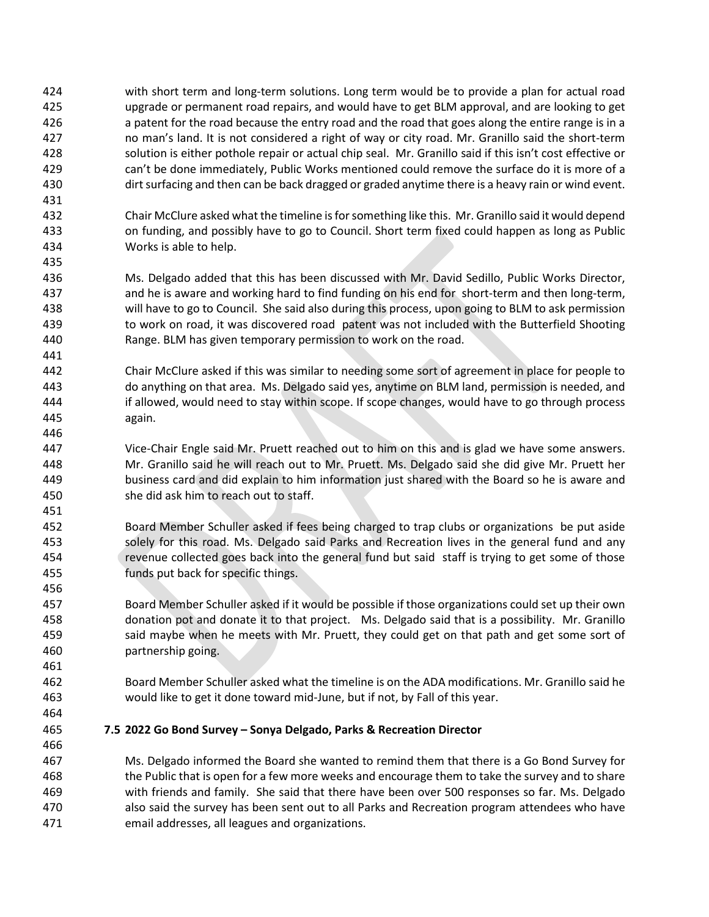- with short term and long-term solutions. Long term would be to provide a plan for actual road upgrade or permanent road repairs, and would have to get BLM approval, and are looking to get a patent for the road because the entry road and the road that goes along the entire range is in a no man's land. It is not considered a right of way or city road. Mr. Granillo said the short-term solution is either pothole repair or actual chip seal. Mr. Granillo said if this isn't cost effective or can't be done immediately, Public Works mentioned could remove the surface do it is more of a dirt surfacing and then can be back dragged or graded anytime there is a heavy rain or wind event.
- Chair McClure asked what the timeline is for something like this. Mr. Granillo said it would depend on funding, and possibly have to go to Council. Short term fixed could happen as long as Public Works is able to help.
- Ms. Delgado added that this has been discussed with Mr. David Sedillo, Public Works Director, and he is aware and working hard to find funding on his end for short-term and then long-term, will have to go to Council. She said also during this process, upon going to BLM to ask permission 439 to work on road, it was discovered road patent was not included with the Butterfield Shooting Range. BLM has given temporary permission to work on the road.
- Chair McClure asked if this was similar to needing some sort of agreement in place for people to do anything on that area. Ms. Delgado said yes, anytime on BLM land, permission is needed, and if allowed, would need to stay within scope. If scope changes, would have to go through process again.
- Vice-Chair Engle said Mr. Pruett reached out to him on this and is glad we have some answers. Mr. Granillo said he will reach out to Mr. Pruett. Ms. Delgado said she did give Mr. Pruett her business card and did explain to him information just shared with the Board so he is aware and she did ask him to reach out to staff.
- Board Member Schuller asked if fees being charged to trap clubs or organizations be put aside solely for this road. Ms. Delgado said Parks and Recreation lives in the general fund and any revenue collected goes back into the general fund but said staff is trying to get some of those funds put back for specific things.
- Board Member Schuller asked if it would be possible if those organizations could set up their own donation pot and donate it to that project. Ms. Delgado said that is a possibility. Mr. Granillo 459 said maybe when he meets with Mr. Pruett, they could get on that path and get some sort of partnership going.
- Board Member Schuller asked what the timeline is on the ADA modifications. Mr. Granillo said he would like to get it done toward mid-June, but if not, by Fall of this year.
- 

**7.5 2022 Go Bond Survey – Sonya Delgado, Parks & Recreation Director**

 Ms. Delgado informed the Board she wanted to remind them that there is a Go Bond Survey for the Public that is open for a few more weeks and encourage them to take the survey and to share with friends and family. She said that there have been over 500 responses so far. Ms. Delgado also said the survey has been sent out to all Parks and Recreation program attendees who have email addresses, all leagues and organizations.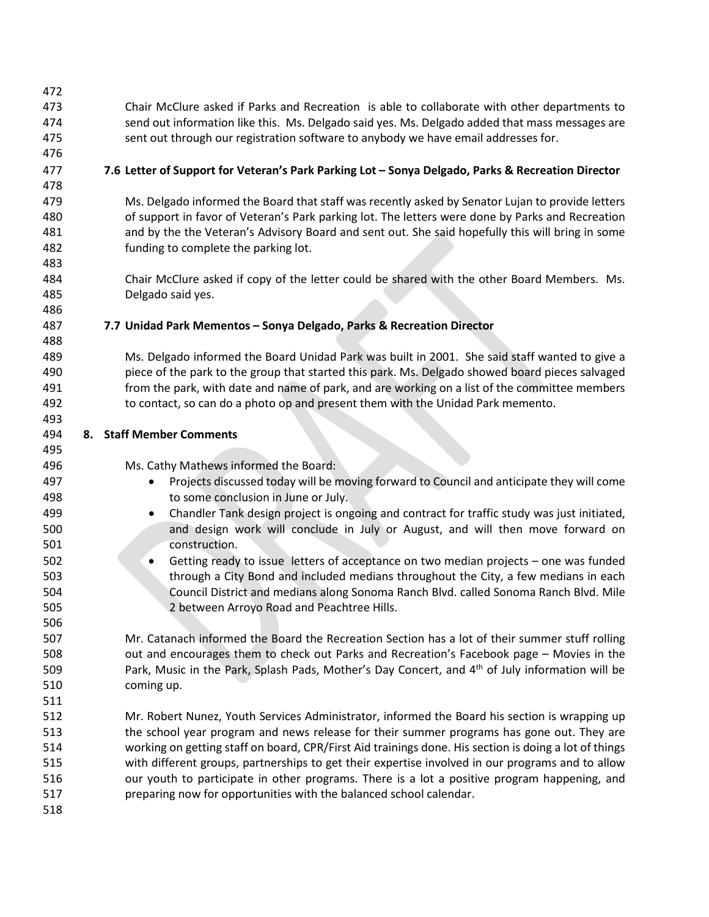Chair McClure asked if Parks and Recreation is able to collaborate with other departments to send out information like this. Ms. Delgado said yes. Ms. Delgado added that mass messages are sent out through our registration software to anybody we have email addresses for.

# **7.6 Letter of Support for Veteran's Park Parking Lot – Sonya Delgado, Parks & Recreation Director**

 Ms. Delgado informed the Board that staff was recently asked by Senator Lujan to provide letters of support in favor of Veteran's Park parking lot. The letters were done by Parks and Recreation and by the the Veteran's Advisory Board and sent out. She said hopefully this will bring in some funding to complete the parking lot.

 Chair McClure asked if copy of the letter could be shared with the other Board Members. Ms. Delgado said yes.

## **7.7 Unidad Park Mementos – Sonya Delgado, Parks & Recreation Director**

 Ms. Delgado informed the Board Unidad Park was built in 2001. She said staff wanted to give a piece of the park to the group that started this park. Ms. Delgado showed board pieces salvaged from the park, with date and name of park, and are working on a list of the committee members to contact, so can do a photo op and present them with the Unidad Park memento.

- **8. Staff Member Comments**
- Ms. Cathy Mathews informed the Board:
- Projects discussed today will be moving forward to Council and anticipate they will come to some conclusion in June or July.
- Chandler Tank design project is ongoing and contract for traffic study was just initiated, and design work will conclude in July or August, and will then move forward on construction.
- Getting ready to issue letters of acceptance on two median projects one was funded through a City Bond and included medians throughout the City, a few medians in each Council District and medians along Sonoma Ranch Blvd. called Sonoma Ranch Blvd. Mile 2 between Arroyo Road and Peachtree Hills.

 Mr. Catanach informed the Board the Recreation Section has a lot of their summer stuff rolling out and encourages them to check out Parks and Recreation's Facebook page – Movies in the **Park, Music in the Park, Splash Pads, Mother's Day Concert, and**  $4<sup>th</sup>$  **of July information will be** coming up.

- Mr. Robert Nunez, Youth Services Administrator, informed the Board his section is wrapping up 513 the school year program and news release for their summer programs has gone out. They are working on getting staff on board, CPR/First Aid trainings done. His section is doing a lot of things with different groups, partnerships to get their expertise involved in our programs and to allow our youth to participate in other programs. There is a lot a positive program happening, and preparing now for opportunities with the balanced school calendar.
-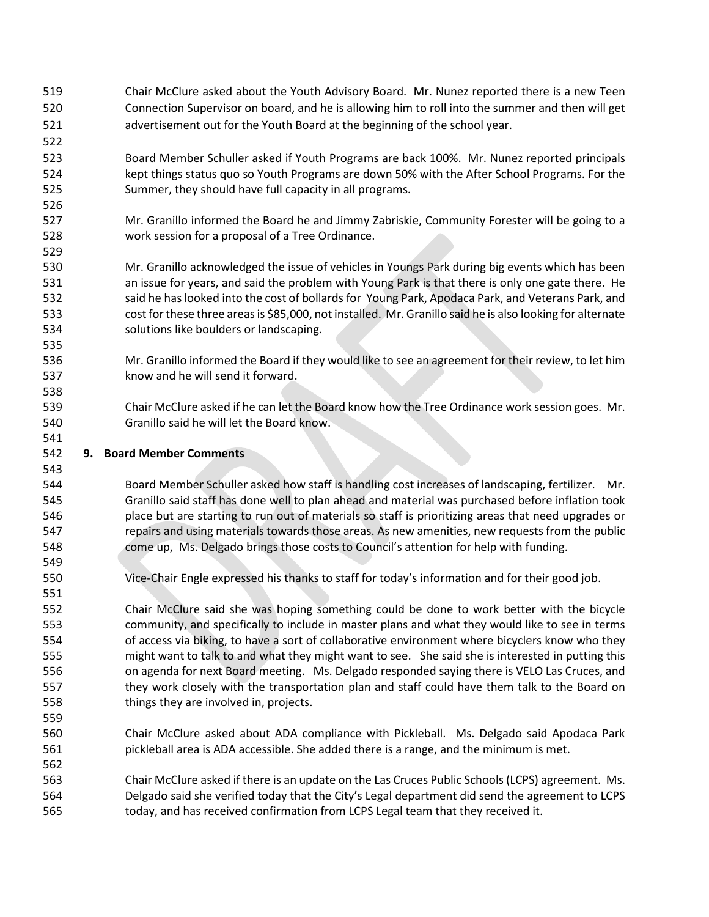- Chair McClure asked about the Youth Advisory Board. Mr. Nunez reported there is a new Teen Connection Supervisor on board, and he is allowing him to roll into the summer and then will get advertisement out for the Youth Board at the beginning of the school year.
- Board Member Schuller asked if Youth Programs are back 100%. Mr. Nunez reported principals kept things status quo so Youth Programs are down 50% with the After School Programs. For the Summer, they should have full capacity in all programs.
- Mr. Granillo informed the Board he and Jimmy Zabriskie, Community Forester will be going to a work session for a proposal of a Tree Ordinance.
- Mr. Granillo acknowledged the issue of vehicles in Youngs Park during big events which has been an issue for years, and said the problem with Young Park is that there is only one gate there. He 532 said he has looked into the cost of bollards for Young Park, Apodaca Park, and Veterans Park, and cost for these three areas is \$85,000, not installed. Mr. Granillo said he is also looking for alternate solutions like boulders or landscaping.
- Mr. Granillo informed the Board if they would like to see an agreement for their review, to let him know and he will send it forward.
- Chair McClure asked if he can let the Board know how the Tree Ordinance work session goes. Mr. Granillo said he will let the Board know.

## **9. Board Member Comments**

 Board Member Schuller asked how staff is handling cost increases of landscaping, fertilizer. Mr. Granillo said staff has done well to plan ahead and material was purchased before inflation took place but are starting to run out of materials so staff is prioritizing areas that need upgrades or 547 repairs and using materials towards those areas. As new amenities, new requests from the public come up, Ms. Delgado brings those costs to Council's attention for help with funding.

Vice-Chair Engle expressed his thanks to staff for today's information and for their good job.

 Chair McClure said she was hoping something could be done to work better with the bicycle community, and specifically to include in master plans and what they would like to see in terms of access via biking, to have a sort of collaborative environment where bicyclers know who they might want to talk to and what they might want to see. She said she is interested in putting this on agenda for next Board meeting. Ms. Delgado responded saying there is VELO Las Cruces, and they work closely with the transportation plan and staff could have them talk to the Board on things they are involved in, projects.

- Chair McClure asked about ADA compliance with Pickleball. Ms. Delgado said Apodaca Park pickleball area is ADA accessible. She added there is a range, and the minimum is met.
- Chair McClure asked if there is an update on the Las Cruces Public Schools (LCPS) agreement. Ms. Delgado said she verified today that the City's Legal department did send the agreement to LCPS today, and has received confirmation from LCPS Legal team that they received it.